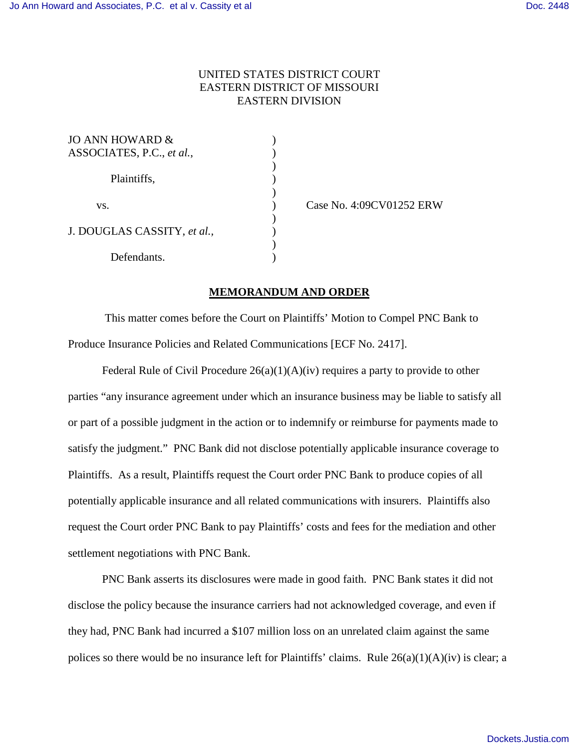## UNITED STATES DISTRICT COURT EASTERN DISTRICT OF MISSOURI EASTERN DIVISION

| <b>JO ANN HOWARD &amp;</b>  |  |
|-----------------------------|--|
| ASSOCIATES, P.C., et al.,   |  |
|                             |  |
| Plaintiffs,                 |  |
|                             |  |
| VS.                         |  |
|                             |  |
| J. DOUGLAS CASSITY, et al., |  |
|                             |  |
| Defendants.                 |  |

) Case No. 4:09CV01252 ERW

## **MEMORANDUM AND ORDER**

 This matter comes before the Court on Plaintiffs' Motion to Compel PNC Bank to Produce Insurance Policies and Related Communications [ECF No. 2417].

Federal Rule of Civil Procedure  $26(a)(1)(A)(iv)$  requires a party to provide to other parties "any insurance agreement under which an insurance business may be liable to satisfy all or part of a possible judgment in the action or to indemnify or reimburse for payments made to satisfy the judgment." PNC Bank did not disclose potentially applicable insurance coverage to Plaintiffs. As a result, Plaintiffs request the Court order PNC Bank to produce copies of all potentially applicable insurance and all related communications with insurers. Plaintiffs also request the Court order PNC Bank to pay Plaintiffs' costs and fees for the mediation and other settlement negotiations with PNC Bank.

 PNC Bank asserts its disclosures were made in good faith. PNC Bank states it did not disclose the policy because the insurance carriers had not acknowledged coverage, and even if they had, PNC Bank had incurred a \$107 million loss on an unrelated claim against the same polices so there would be no insurance left for Plaintiffs' claims. Rule 26(a)(1)(A)(iv) is clear; a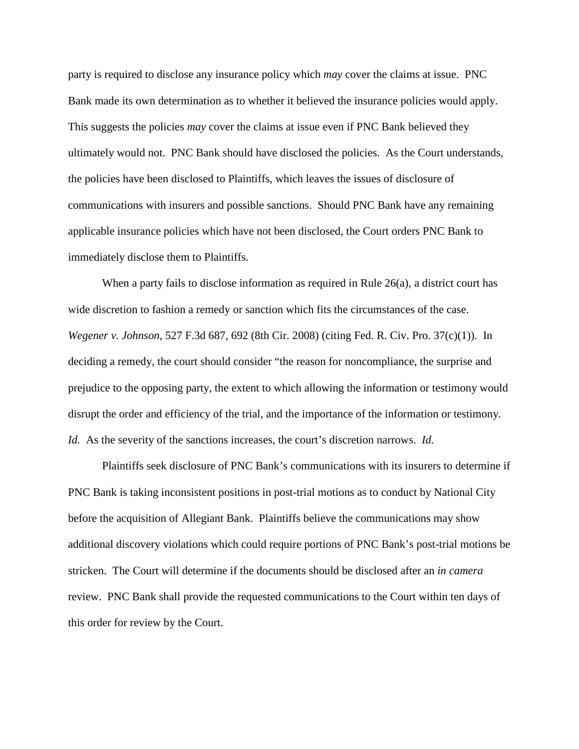party is required to disclose any insurance policy which *may* cover the claims at issue. PNC Bank made its own determination as to whether it believed the insurance policies would apply. This suggests the policies *may* cover the claims at issue even if PNC Bank believed they ultimately would not. PNC Bank should have disclosed the policies. As the Court understands, the policies have been disclosed to Plaintiffs, which leaves the issues of disclosure of communications with insurers and possible sanctions. Should PNC Bank have any remaining applicable insurance policies which have not been disclosed, the Court orders PNC Bank to immediately disclose them to Plaintiffs.

When a party fails to disclose information as required in Rule 26(a), a district court has wide discretion to fashion a remedy or sanction which fits the circumstances of the case. *Wegener v. Johnson*, 527 F.3d 687, 692 (8th Cir. 2008) (citing Fed. R. Civ. Pro. 37(c)(1)). In deciding a remedy, the court should consider "the reason for noncompliance, the surprise and prejudice to the opposing party, the extent to which allowing the information or testimony would disrupt the order and efficiency of the trial, and the importance of the information or testimony. *Id.* As the severity of the sanctions increases, the court's discretion narrows. *Id.*

Plaintiffs seek disclosure of PNC Bank's communications with its insurers to determine if PNC Bank is taking inconsistent positions in post-trial motions as to conduct by National City before the acquisition of Allegiant Bank. Plaintiffs believe the communications may show additional discovery violations which could require portions of PNC Bank's post-trial motions be stricken. The Court will determine if the documents should be disclosed after an *in camera* review. PNC Bank shall provide the requested communications to the Court within ten days of this order for review by the Court.